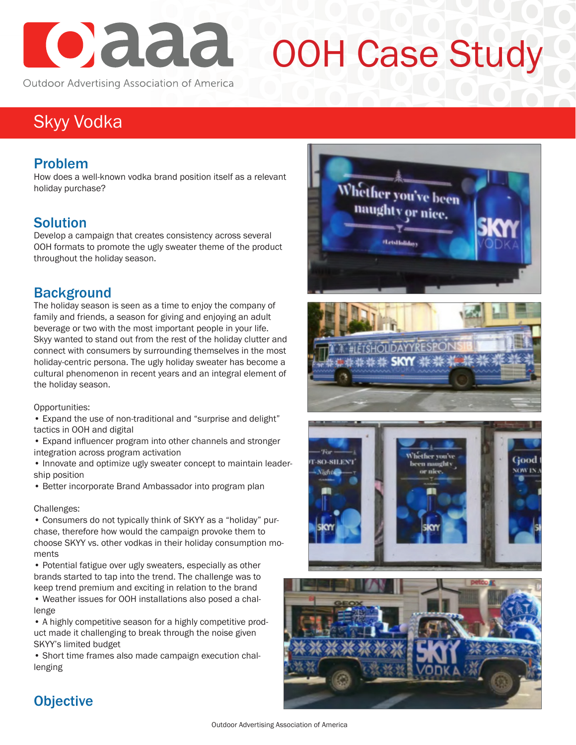

# OOH Case Study

Outdoor Advertising Association of America

# Skyy Vodka

## Problem

How does a well-known vodka brand position itself as a relevant holiday purchase?

## Solution

Develop a campaign that creates consistency across several OOH formats to promote the ugly sweater theme of the product throughout the holiday season.

## Background

The holiday season is seen as a time to enjoy the company of family and friends, a season for giving and enjoying an adult beverage or two with the most important people in your life. Skyy wanted to stand out from the rest of the holiday clutter and connect with consumers by surrounding themselves in the most holiday-centric persona. The ugly holiday sweater has become a cultural phenomenon in recent years and an integral element of the holiday season.

Opportunities:

• Expand the use of non-traditional and "surprise and delight" tactics in OOH and digital

• Expand influencer program into other channels and stronger integration across program activation

• Innovate and optimize ugly sweater concept to maintain leadership position

• Better incorporate Brand Ambassador into program plan

#### Challenges:

• Consumers do not typically think of SKYY as a "holiday" purchase, therefore how would the campaign provoke them to choose SKYY vs. other vodkas in their holiday consumption moments

• Potential fatigue over ugly sweaters, especially as other brands started to tap into the trend. The challenge was to keep trend premium and exciting in relation to the brand

• Weather issues for OOH installations also posed a challenge

• A highly competitive season for a highly competitive product made it challenging to break through the noise given SKYY's limited budget

• Short time frames also made campaign execution challenging









## **Objective**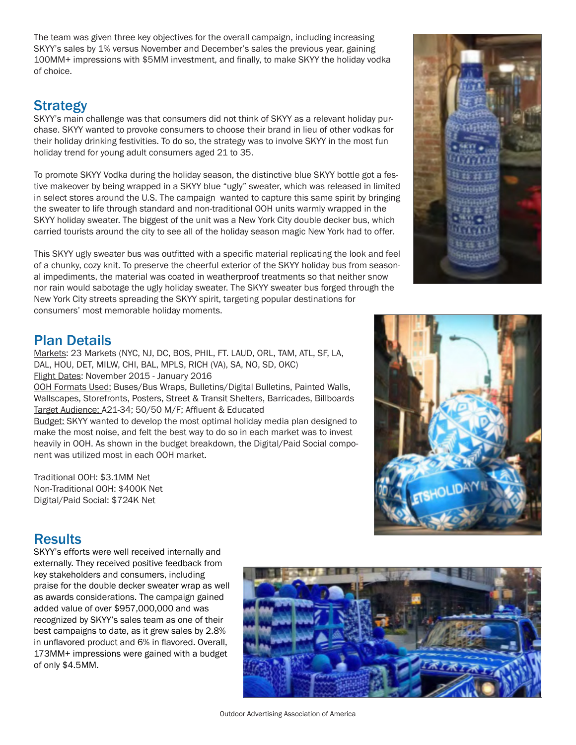The team was given three key objectives for the overall campaign, including increasing SKYY's sales by 1% versus November and December's sales the previous year, gaining 100MM+ impressions with \$5MM investment, and finally, to make SKYY the holiday vodka of choice.

## Strategy

SKYY's main challenge was that consumers did not think of SKYY as a relevant holiday purchase. SKYY wanted to provoke consumers to choose their brand in lieu of other vodkas for their holiday drinking festivities. To do so, the strategy was to involve SKYY in the most fun holiday trend for young adult consumers aged 21 to 35.

To promote SKYY Vodka during the holiday season, the distinctive blue SKYY bottle got a festive makeover by being wrapped in a SKYY blue "ugly" sweater, which was released in limited in select stores around the U.S. The campaign wanted to capture this same spirit by bringing the sweater to life through standard and non-traditional OOH units warmly wrapped in the SKYY holiday sweater. The biggest of the unit was a New York City double decker bus, which carried tourists around the city to see all of the holiday season magic New York had to offer.

This SKYY ugly sweater bus was outfitted with a specific material replicating the look and feel of a chunky, cozy knit. To preserve the cheerful exterior of the SKYY holiday bus from seasonal impediments, the material was coated in weatherproof treatments so that neither snow nor rain would sabotage the ugly holiday sweater. The SKYY sweater bus forged through the New York City streets spreading the SKYY spirit, targeting popular destinations for consumers' most memorable holiday moments.



## Plan Details

Markets: 23 Markets (NYC, NJ, DC, BOS, PHIL, FT. LAUD, ORL, TAM, ATL, SF, LA, DAL, HOU, DET, MILW, CHI, BAL, MPLS, RICH (VA), SA, NO, SD, OKC) Flight Dates: November 2015 - January 2016

OOH Formats Used: Buses/Bus Wraps, Bulletins/Digital Bulletins, Painted Walls, Wallscapes, Storefronts, Posters, Street & Transit Shelters, Barricades, Billboards Target Audience: A21-34; 50/50 M/F; Affluent & Educated

Budget: SKYY wanted to develop the most optimal holiday media plan designed to make the most noise, and felt the best way to do so in each market was to invest heavily in OOH. As shown in the budget breakdown, the Digital/Paid Social component was utilized most in each OOH market.

Traditional OOH: \$3.1MM Net Non-Traditional OOH: \$400K Net Digital/Paid Social: \$724K Net

### **Results**

SKYY's efforts were well received internally and externally. They received positive feedback from key stakeholders and consumers, including praise for the double decker sweater wrap as well as awards considerations. The campaign gained added value of over \$957,000,000 and was recognized by SKYY's sales team as one of their best campaigns to date, as it grew sales by 2.8% in unflavored product and 6% in flavored. Overall, 173MM+ impressions were gained with a budget of only \$4.5MM.